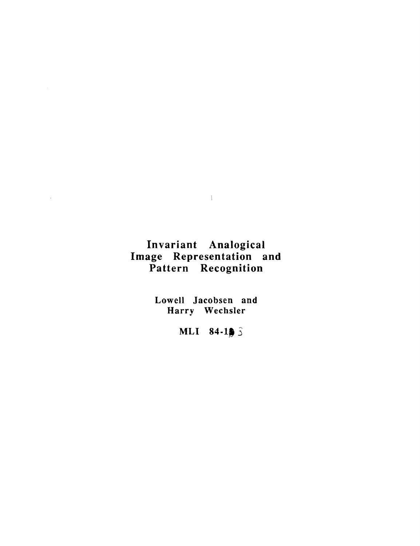## Invariant Analogical Image Representation and Pattern Recognition

 $\sim 10^{-1}$ 

 $\sim 10^7$ 

Lowell Jacobsen and Harry Wechsler

MLI 84-1 $\frac{1}{9}$  3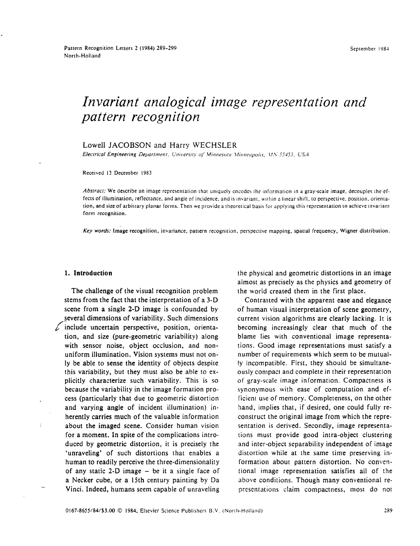# *Invariant analogical image representation and pattern recognition*

## Lowell JACOBSON and Harry WECHSLER

Electrical Engineering Department, University of Minnesota Minneapolis, MN 55455. USA

Received 13 December 1983

Abstract: We describe an image representation that uniquely encodes the information in a gray-scale image. decouples the effects of illumination. reflectance. and angle of incidence. and is Invariant. within a linear shift. to perspective. position, orientation, and size of arbitrary planar forms. Then we provide a theoretical basis for applying this representation to achieve invariant form recognition.

Key words: Image recognition, invariance, pattern recognition, perspective mapping, spatial frequency, Wigner distribution.

## 1. Introduction

 $\overline{1}$ 

The challenge of the visual recognition problem stems from the fact that the interpretation of a 3-D scene from a single 2-D image is confounded by several dimensions of variability. Such dimensions  $\angle$  include uncertain perspective, position, orientation, and size (pure-geometric variability) along with sensor noise, object occlusion, and nonuniform illumination. Vision systems must not only be able to sense the identity of objects despite this variability, but they must also be able to explicitly characterize such variability. This is so because the variability in the image formation process (particularly that due to geometric distortion and varying angle of incident illumination) inherently carries much of the valuable information about the imaged scene. Consider human vision for a moment. In spite of the complications introduced by geometric distortion, it is precisely the 'unraveling' of such distortions that enables a human to readily perceive the three-dimensionality of any static  $2-D$  image  $-$  be it a single face of a Necker cube, or a 15th century painting by Oa Vinci. Indeed, humans seem capable of unraveling the physical and geometric distortions in an image almost as precisely as the physics and geometry of the world created them in the first place.

Contrasted with the apparent ease and elegance of human visual interpretation of scene geometry, current vision algorithms are clearly lacking, It is becoming increasingly clear that much of the blame lies with conventional image representations. Good image representations must satisfy a number of requirements which seem to be mutually incompatible. First, they should be simultaneously compact and complete in their representation of gray-scale image information. Compactness is synonymous with ease of computation and efficient use of memory, Completeness, on the other hand, implies that, if desired, one could fully reconstruct the original image from which the representation is derived. Secondly, image representations must provide good intra-object clustering and inter-object separability independent of image distortion while at the same time preserving information about pattern distortion. No conventional image representation satisfies all of the above conditions. Though many conventional representations claim compactness, most do not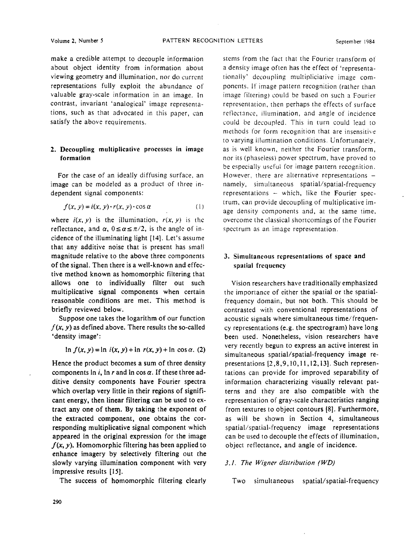make a credible attempt to decouple information about object identity from information about viewing geometry and illumination, nor do current representations fully exploit the abundance of valuable gray-scale information in an image. In contrast, invariant 'analogical' image representations, such as that advocated in this paper, can satisfy the above requirements.

## 2. Decoupling multiplicative processes in image formation

For the case of an ideally diffusing surface, an image can be modeled as a product of three independent signal components:

$$
f(x, y) = i(x, y) \cdot r(x, y) \cdot \cos \alpha \tag{1}
$$

where  $i(x, y)$  is the illumination,  $r(x, y)$  is the reflectance, and  $\alpha$ ,  $0 \le \alpha \le \pi/2$ , is the angle of incidence of the illuminating light [14]. Let's assume that any additive noise that is present has small magnitude relative to the above three components of the signal. Then there is a well-known and effective method known as homomorphic filtering that allows one to individually filter out such multiplicative signal components when certain reasonable conditions are met. This method is briefly reviewed below.

Suppose one takes the logarithm of our function  $f(x, y)$  as defined above. There results the so-called 'density image';

$$
\ln f(x, y) = \ln i(x, y) + \ln r(x, y) + \ln \cos \alpha
$$
 (2)

Hence the product becomes a sum of three density components  $\ln i$ ,  $\ln r$  and  $\ln \cos \alpha$ . If these three additive density components have Fourier spectra which overlap very little in their regions of significant energy, then linear filtering can be used to extract anyone of them. By taking the exponent of the extracted component, one obtains the corresponding multiplicative signal component which appeared in the original expression for the image  $f(x, y)$ . Homomorphic filtering has been applied to enhance imagery by selectively filtering out the slowly varying illumination component with very impressive results [15].

The success of homomorphic filtering clearly

stems from the fact that the Fourier transform of a density image often has the effect of 'representationally' decoupling multipliciative image components. If image pattern recognition (rather than image filtering) could be based on such a Fourier representation, then perhaps the effects of surface reflectance, illumination, and angle of incidence could be decoupled. This in turn could lead to methods for form recognition that are insensitive to varying illumination conditions. Unfortunately, as is well known, neither the Fourier transform, nor its (phaseless) power spectrum, have proved to be especially useful for image pattern recognition. However, there are alternative representations  $$ namely, simultaneous spatial/spatial-frequency representations  $-$  which, like the Fourier spectrum, can provide decoupling of multiplicative image density components and, at the same time. overcome the classical shortcomings of the Fourier spectrum as an image representation.

## 3. Simultaneous representations of space and spatial frequency

Vision researchers have traditionally emphasized the importance of either the spatial or the spatialfrequency domain, but not both. This should be contrasted with conventional representations of acoustic signals where simultaneous time/frequency representations (e.g. the spectrogram) have long been used. Nonetheless, vision researchers have very recently begun to express an active interest in simultaneous spatial/spatial-frequency image representations [2,8,9,10,11,12,131. Such representations can provide for improved separability of information characterizing visually relevant patterns and they are also compatible with the representation of gray-scale characteristics ranging from textures to object contours [8]. Furthermore, as will be shown in Section 4, simultaneous spatial/spatial-frequency image representations can be used to decouple the effects of illumination, object reflectance, and angle of incidence.

## *3./. The Wigner diSlribUlion (WD)*

Two simultaneous spatial/spatial-frequency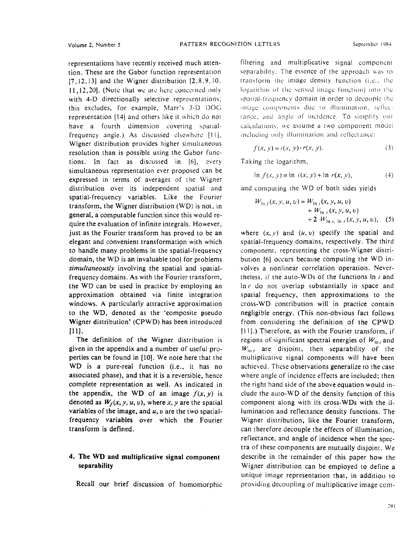representations have recently received much attention. These are the Gabor function representation  $[7,12,13]$  and the Wigner distribution  $[2,8,9,10,$  $11,12,20$ . (Note that we are here concerned only with 4-D directionally selective representations; this excludes, for example, Marr's 3-D DOC representation [14] and others like it which do not have a fourth dimension covering spatialfrequency angle.) As discussed elsewhere [11]. Wigner distribution provides higher simultaneous resolution than is possible using the Gabor functions. In fact as discussed in [6], every simultaneous representation ever proposed can be expressed in terms of averages of the Wigner distribution over its independent spatial and spatial-frequency variables. Like the Fourier transform, the Wigner distribution (WD) is not, in general, a computable function since this would require the evaluation of infinite integrals. However. just as the Fourier transform has proved to be an elegant and convenient transformation with which to handle many problems in the spatial-frequency domain, the WD is an invaluable tool for problems simultaneously involving the spatial and spatialfrequency domains. As with the Fourier transform, the WD can be used in practice by employing an approximation obtained via finite integration windows. A particularly attractive approximation to the WD, denoted as the 'composite pseudo Wigner distribution' (CPWD) has been introduced [II}.

The definition of the Wigner distribution is given in the appendix and a number of useful properties can be found in [1O}. We note here that the WD is a pure-real function (i.e., it has no associated phase), and that it is a reversible, hence complete representation as well. As indicated in the appendix, the WD of an image  $f(x, y)$  is denoted as  $W_f(x, y, u, v)$ , where x, y are the spatial variables of the image, and *u, u* are the two spatialfrequency variables over which the Fourier transform is defined.

## 4. The WD and multiplicative signal component separability

Recall our brief discussion of homomorphic

filtering and multiplicative signal componcnt separability. The essence of the approach was to transform the image density function (i.e., the logarithm of the sensed image function) into the spatial-frequency domain in order to decouple the image components due to illumination, reflectance, and angle of incidence. To simplify our calculations, we assume a two component model including only illumination and reflectance:

$$
f(x, y) = i(x, y) \cdot r(x, y). \tag{3}
$$

Taking the logarithm.

$$
\ln f(x, y) = \ln i(x, y) + \ln r(x, y),
$$
 (4)

and computing the WD of both sides yields

$$
W_{\ln f}(x, y, u, v) = W_{\ln i}(x, y, u, v)
$$
  
+  $W_{\ln r}(x, y, u, v)$   
+ 2  $W_{\ln i, \ln r}(x, y, u, v)$ , (5)

where  $(x, y)$  and  $(u, v)$  specify the spatial and spatial-frequency domains, respectively, The third component, representing the cross-Wigner distribution (61 occurs because computing the WD in . volves a nonlinear correlation operation. Nevertheless, if the auto-WDs of the functions  $\ln i$  and  $\ln r$  do not overlap substantially in space and spatial frequency, then approximations to the cross-WD contribution will in practice contain negligible energy. (This non-obvious fact follows from considering the definition of the CPWD [11).) Therefore. as with the Fourier transform, if regions of significant spectral energies of  $W_{\text{in}i}$  and  $W_{\text{in }r}$  are disjoint, then separability of the multiplicative signal components will have been achieved. These observations generalize to the case where angle of incidence effects are included; then the right hand side of the above equation would include the auto-WD of the density function of this component along with its cross-WDs with the illumination and reflectance density functions. The Wigner distribution, like the Fourier transform, can therefore decouple the effects of illumination. reflectance, and angle of incidence when the spectra of these components are mutually disjoint. We describe in the remainder of this paper how the Wigner distribution can be employed to define a unique image representation that, in addition to providing decoupling of multiplicative image com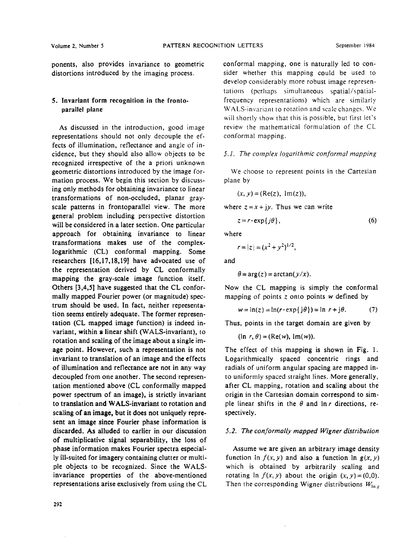ponents, also provides invariance to geometric distortions introduced by the imaging process.

## 5. Invariant form recognition in the frontoparallel plane

As discussed in the introduction, good image representations should not only decouple the effects of illumination, reflectance and angle of incidence, but they should also allow objects to be recognized irrespective of the a priori unknown geometric distortions introduced by the image formation process. We begin this section by discussing only methods for obtaining invariance to linear transformations of non-occluded, planar grayscale patterns in frontoparallel view. The more general problem including perspective distortion will be considered in a later section. One particular approach for obtaining invariance to linear transformations makes use of the complexlogarithmic (CL) conformal mapping. Some researchers [16,17,18,19] have advocated use of the representation derived by CL conformally mapping the gray-scale image function itself. Others [3,4,5] have suggested that the CL conformally mapped Fourier power (or magnitude) spectrum should be used. In fact, neither representation seems entirely adequate. The former representation (CL mapped image function) is indeed invariant, within a linear shift (W ALS-invariant), to rotation and scaling of the image about a single image point. However, such a representation is not invariant to translation of an image and the effects of illumination and reflectance are not in any way decoupled from one another. The second representation mentioned above (CL conformally mapped power spectrum of an image), is strictly invariant to translation and W ALS-invariant to rotation and scaling of an image, but it does not uniquely represent an image since Fourier phase information is discarded. As alluded to earlier in our discussion of multiplicative signal separability, the loss of phase information makes Fourier spectra especially ill-suited for imagery containing clutter or multiple objects to be recognized. Since the WALSinvariance properties of the above-mentioned representations arise exclusively from using the CL

conformal mapping, one is naturally led to consider whether this mapping could be used to develop considerably more robust image representations (perhaps simultaneous spatial/spalial· frequency representations) which are similarly WALS-invariant to rotation and scale changes. We will shortly show that this is possible, but first let's review the mathematical formulation of the CL conformal mapping.

## *5.1. The complex logarithmic conformal mapping*

We choose to represent points in the Cartesian plane by

$$
(x, y) = (\text{Re}(z), \text{Im}(z)),
$$

where  $z = x + iy$ . Thus we can write

$$
z = r \cdot \exp\{j\theta\},\tag{6}
$$

where

$$
r = |z| = (x^2 + y^2)^{1/2},
$$

and

$$
\theta = \arg(z) = \arctan(y/x).
$$

Now the CL mapping is simply the conformal mapping of points *z* onto points w defined by

$$
w = \ln(z) = \ln(r \cdot \exp\{j\theta\}) = \ln r + j\theta. \tag{7}
$$

Thus, points in the target domain are given by

 $(\ln r, \theta) = (\text{Re}(w), \text{Im}(w)).$ 

The effect of this mapping is shown in Fig. 1. Logarithmically spaced concentric rings and radials of uniform angular spacing are mapped into uniformly spaced straight lines. More generally, after CL mapping, rotation and scaling about the origin in the Cartesian domain correspond to simple linear shifts in the  $\theta$  and  $\ln r$  directions, respectively.

#### *5.2. The conformally mapped Wigner distribution*

Assume we are given an arbitrary image density function  $\ln f(x, y)$  and also a function  $\ln g(x, y)$ which is obtained by arbitrarily scaling and rotating  $\ln f(x, y)$  about the origin  $(x, y) = (0,0)$ . Then the corresponding Wigner distributions  $W_{\ln x}$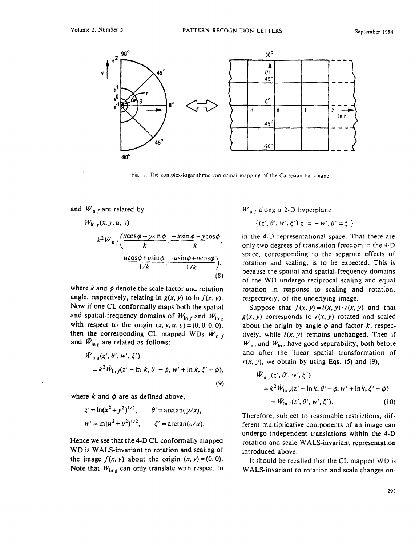

Fig. 1. The complex-logarithmic conformal mapping of the Cartesian half-plane.

and  $W_{\text{in}}$ , are related by

$$
W_{\ln g}(x, y, u, v)
$$
  
=  $k^2 W_{\ln f} \bigg( \frac{x \cos \phi + y \sin \phi}{k}, \frac{-x \sin \phi + y \cos \phi}{k}, \frac{u \cos \phi + v \sin \phi}{1/k}, \frac{-u \sin \phi + v \cos \phi}{1/k} \bigg)$ , (8)

where  $k$  and  $\phi$  denote the scale factor and rotation angle, respectively, relating  $\ln g(x, y)$  to  $\ln f(x, y)$ . Now if one CL conformally maps both the spatial and spatial-frequency domains of  $W_{\ln f}$  and  $W_{\ln f}$ with respect to the origin  $(x, y, u, v) = (0, 0, 0, 0)$ , then the corresponding CL mapped WDs  $\tilde{W}_{\text{in}}$ and  $\bar{W}_{\ln g}$  are related as follows:

$$
\tilde{W}_{\text{in }g}(z', \theta', w', \xi')
$$
  
=  $k^2 \tilde{W}_{\text{in }f}(z' - \ln k, \theta' - \phi, w' + \ln k, \xi' - \phi),$  (9)

where  $k$  and  $\phi$  are as defined above,

$$
z' = \ln(x^2 + y^2)^{1/2}
$$
,  $\theta' = \arctan(y/x)$ ,  
\n $w' = \ln(u^2 + v^2)^{1/2}$ ,  $\xi' = \arctan(v/u)$ .

Hence we see that the 4-D CL conformally mapped WD is WALS-invariant to rotation and scaling of the image  $f(x, y)$  about the origin  $(x, y) = (0, 0)$ . Note that  $W_{\text{in }g}$  can only translate with respect to

 $W_{\ln f}$  along a 2-D hyperplane

 $\{(z', \theta', w', \xi') | z' = -w', \theta' = \xi'\}$ 

in the 4-D representational space. That there are only two degrees of translation freedom in the 4·D space, corresponding to the separate effects of rotation and scaling, is to be expected. This is because the spatial and spatial-frequency domains of the WD undergo reciprocal scaling and equal rotation in response to scaling and rotation, respectively, of the underlying image.

Suppose that  $f(x, y) = i(x, y) \cdot r(x, y)$  and that  $g(x, y)$  corresponds to  $r(x, y)$  rotated and scaled about the origin by angle  $\phi$  and factor  $k$ , respectively, while  $i(x, y)$  remains unchanged. Then if  $\tilde{W}_{\ln i}$  and  $\tilde{W}_{\ln r}$  have good separability, both before and after the linear spatial transformation of  $r(x, y)$ , we obtain by using Eqs. (5) and (9),

$$
\tilde{W}_{\ln g}(z', \theta', w', \xi')
$$
\n
$$
= k^2 \tilde{W}_{\ln r}(z' - \ln k, \theta' - \phi, w' + \ln k, \xi' - \phi)
$$
\n
$$
+ \tilde{W}_{\ln i}(z', \theta', w', \xi'). \tag{10}
$$

Therefore, subject to reasonable restrictions, different multiplicative components of an image can undergo independent translations within the 4-D rotation and scale W ALS-invariant representation introduced above.

It should be recalled that the CL mapped WD is W ALS-invariant to rotation and scale changes on-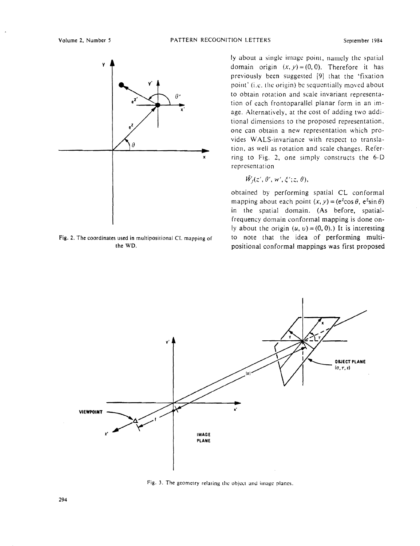

Fig. 2, The coordinates used in mulliposilional CL mapping of the WO.

ly about a single image point, namely the spatial domain origin  $(x, y) = (0, 0)$ . Therefore it has previously been suggested [9] that the 'fixation point' (i.e. Ille origin) be sequentially moved about to obtain rotation and scale invariant representation of each frontoparallel planar form in an image. Alternatively, at the cost of adding two additional dimensions to the proposed representation, one can obtain a new representation which provides WALS-invariance with respect to translation, as well as rotation and scale changes, Referring to Fig. 2, one simply constructs the 6-D representation

$$
\hat{W}_1(z',\theta',w',\xi';z,\theta),
$$

obtained by performing spatial CL conformal mapping about each point  $(x, y) = (e^z \cos \theta, e^z \sin \theta)$ in the spatial domain. (As before, spatial· frequency domain conformal mapping is done only about the origin  $(u, v) = (0, 0)$ .) It is interesting to note that the idea of performing multipositional conformal mappings was first proposed



Fig. 3. The geometry relating the object and image planes.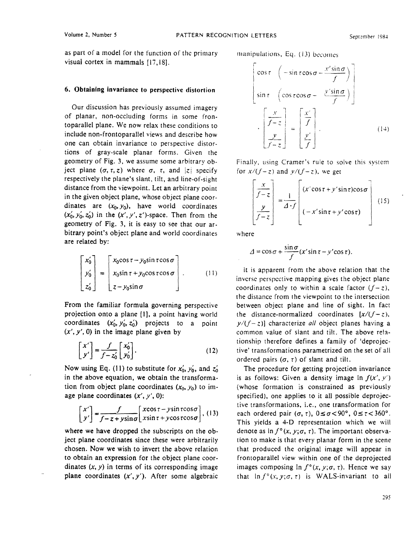as part of a model for the function of thc primary visual cortex in mammals [17,18].

## 6. Obtaining invariance to perspective dislorlion

Our discussion has previously assumed imagery of planar, non-occluding forms in some fronto parallel plane. We now relax these conditions to include non-frontoparallel views and describe how one can obtain invariance to perspective distortions of gray-scale planar forms. Given the geometry of Fig. 3, we assume some arbitrary object plane  $(\sigma, \tau, z)$  where  $\sigma, \tau,$  and  $|z|$  specify respectively the plane's slant, tilt, and line-of-sight distance from the viewpoint. Let an arbitrary point in the given object plane, whose object plane coordinates are  $(x_0, y_0)$ , have world coordinates  $(x'_0, y'_0, z'_0)$  in the  $(x', y', z')$ -space. Then from the geometry of Fig. 3. it is easy to see that our arbitrary point's object plane and world coordinates are related by:

$$
\begin{bmatrix} x_0' \\ y_0' \\ z_0' \end{bmatrix} = \begin{bmatrix} x_0 \cos \tau - y_0 \sin \tau \cos \sigma \\ x_0 \sin \tau + y_0 \cos \tau \cos \sigma \\ z - y_0 \sin \sigma \end{bmatrix} . \tag{11}
$$

From the familiar formula governing perspective projection onto a plane [1]. a point having world coordinates  $(x'_0, y'_0, z'_0)$  projects to a point  $(x', y', 0)$  in the image plane given by

$$
\begin{bmatrix} x' \\ y' \end{bmatrix} = \frac{f}{f - z'_0} \begin{bmatrix} x'_0 \\ y'_0 \end{bmatrix} . \tag{12}
$$

Now using Eq. (11) to substitute for  $x'_0$ ,  $y'_0$ , and  $z'_0$ in the above equation, we obtain the transformation from object plane coordinates  $(x_0, y_0)$  to image plane coordinates (x', *y',* 0):

$$
\begin{bmatrix} x' \\ y' \end{bmatrix} = \frac{f}{f - z + y \sin \sigma} \begin{bmatrix} x \cos \tau - y \sin \tau \cos \sigma \\ x \sin \tau + y \cos \tau \cos \sigma \end{bmatrix}, (13)
$$

where we have dropped the subscripts on the object plane coordinates since these were arbitrarily chosen. Now we wish to invert the above relation to obtain an expression for the object plane coordinates  $(x, y)$  in terms of its corresponding image plane coordinates  $(x', y')$ . After some algebraic manipulations, Eq. (13) becomes

$$
\begin{bmatrix}\n\cos t & -\sin t \cos \sigma - \frac{x' \sin \sigma}{f} \\
\sin t & \left(\cos t \cos \sigma - \frac{y' \sin \sigma}{f}\right)\n\end{bmatrix}
$$
\n
$$
\cdot \begin{bmatrix}\n\frac{x}{f-z} \\
\frac{y}{f-z}\n\end{bmatrix} = \begin{bmatrix}\n\frac{x'}{f} \\
\frac{y'}{f}\n\end{bmatrix}.
$$
\n(14)

Finally, using Cramer's rule to solve this system for  $x/(f-z)$  and  $y/(f-z)$ , we get

$$
\begin{bmatrix} \frac{x}{f-z} \\ \frac{y}{f-z} \end{bmatrix} = \frac{1}{d \cdot f} \begin{bmatrix} (x' \cos \tau + y' \sin \tau) \cos \sigma \\ (-x' \sin \tau + y' \cos \tau) \end{bmatrix}
$$
(15)

where

$$
\Delta = \cos \sigma + \frac{\sin \sigma}{f} (x' \sin \tau - y' \cos \tau).
$$

It is apparent from the above relation that the inverse perspective mapping gives the object plane coordinates only to within a scale factor  $(f - z)$ , the distance from the viewpoint to the intersection between object plane and line of sight. In fact the distance-normalized coordinates  $[x/(f-z))$ ,  $y/(f-z)$ ] characterize *all* object planes having a common value of slant and tilt. The above relationship therefore defines a family of 'deprojective' transformations parametrized on the set of all ordered pairs  $(\sigma, \tau)$  of slant and tilt.

The procedure for getting projection invariance is as follows: Given a density image  $\ln f(x', y')$ (whose formation is constrained as previously specified), one applies to it all possible deprojective transformations, i.e., one transformation for each ordered pair  $(\sigma, \tau)$ ,  $0 \leq \sigma < 90^{\circ}$ ,  $0 \leq \tau < 360^{\circ}$ . This yields a 4-0 representation whieh we will denote as  $\ln f^{\circ}(x, y; \sigma, \tau)$ . The important observation to make is that every planar form in the scene that produced the original image will appear in frontoparallel view within one of the deprojected images composing  $\ln f^{\circ}(x, y; \sigma, \tau)$ . Hence we say that  $\ln f^{\circ}(x, y; \sigma, \tau)$  is WALS-invariant to all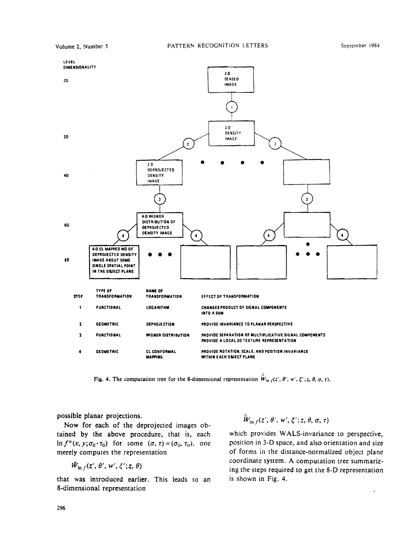

Fig. 4. The computation tree for the 8-dimensional representation  $\hat{W}_{1n}$   $_1(z', \theta', w', \xi'; z, \theta, \sigma, \tau)$ .

possible planar projections.

Now for each of the deprojected images obtained by the above procedure, that is, each  $\ln f^{\circ}(x, y; \sigma_0 \cdot \tau_0)$  for some  $(\sigma, \tau) = (\sigma_0, \tau_0)$ , one merely computes the representation

 $\hat{W}_{\ln f}(z', \theta', w', \xi'; z, \theta)$ 

that was introduced earlier. This leads to an 8-dimensional representation

$$
\hat{\tilde{W}}_{\text{in }f}(z',\theta',\,w',\,\xi';z,\,\theta,\,\sigma,\,\tau)
$$

which provides WALS-invariance to perspective, position in 3-D space, and also orientation and size of forms in the distance-normalized object plane coordinate system. A computation tree summarizing the steps required to get the 8-D representation is shown in Fig. 4.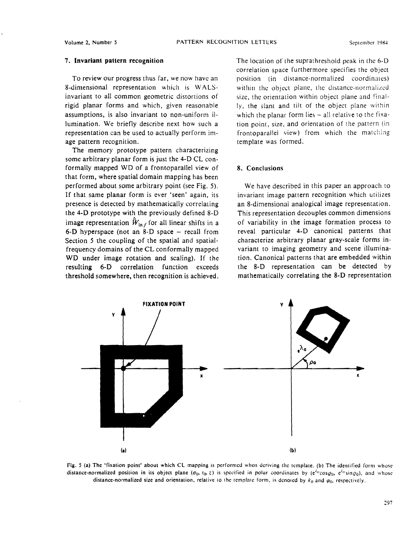#### 7. **Invariant pattern recognilion**

To review our progress thus far, we now have an 8-dimensional representation which is WALSinvariant to all common geometric distortions of rigid planar forms and which, given reasonable assumptions, is also invariant to non-uniform illumination. We briefly describe next how such a representation can be used to actually perform image pattern recognition.

The memory prototype pattern characterizing some arbitrary planar form is just the 4-0 CL conformally mapped WO of a frontoparallel view of that form, where spatial domain mapping has been performed about some arbitrary point (see Fig. 5). If that same planar form is ever 'seen' again, its presence is detected by mathematically correlating the  $4-D$  prototype with the previously defined  $8-D$ image representation  $\hat{W}_{\text{in } f}$  for all linear shifts in a 6·0 hyperspace (not an 8·0 space - recall from Section 5 the coupling of the spatial and spatialfrequency domains of the CL conformally mapped WD under image rotation and scaling). If the resulting 6-0 correlation function exceeds threshold somewhere, then recognition is achieved.

The location of the suprathreshold peak in the 6-D correlation space furthermore specifies the object position (in distance-normalized coordinates) within the object plane, the distance-normalized size, the orientation within object plane and finally, the slant and tilt of the object plane within which the planar form lies  $-$  all relative to the fixation point, size, and orientation of the pattern (in frontoparallel view) from which the matching template was formed.

#### 8. Conclusions

We have described in this paper an approach to invariant image pattern recognition which utilizes an 8·dimensional analogical image representation. This representation decouples common dimensions of variability in the image formation process to reveal particular 4·0 canonical patterns that characterize arbitrary planar gray-scale forms in· variant to imaging geometry and scene illumination. Canonical patterns that are embedded within the 8-0 representation can be detected by mathematically correlating the 8-0 representation



Fig. 5 (a) The 'fixation point' about which Cl mapping is performed when deriving the template. (b) The identified form whose distance-normalized position in its object plane ( $\sigma_0$ ,  $\tau_0$ ,  $z$ ) is specified in polar coordinates by (e<sup>20</sup>cos $\varrho_0$ , e<sup>20</sup>sin $\varrho_0$ ), and whose distance-normalized size and orientation, relative to the template form, is denoted by  $k_0$  and  $\varphi_0$ , respectively.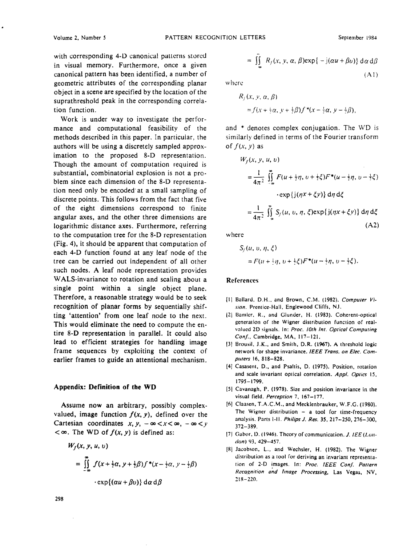with corresponding 4-D canonical patterns stored in visual memory. Furthermore, once a given canonical pattern has been identified, a number of geometric attributes of the corresponding planar object in a scene are specified by the location of the suprathreshold peak in the corresponding correlation function.

Work is under way to investigate the performance and computational feasibility of the methods described in this paper. In particular, the authors will be using a discretely sampled approximation to the proposed 8-D representation. Though the amount of computation required is substantial, combinatorial explosion is not a problem since each dimension of the 8-D representation need only be encoded' at a small sampling of discrete points. This follows from the fact that five of the eight dimensions correspond to finite angular axes, and the other three dimensions are logarithmic distance axes. Furthermore, referring to the computation tree for the 8-D representation (Fig. 4), it should be apparent that computation of each 4-D function' found at any leaf node of the tree can be carried out independent of all other such nodes. A leaf node representation provides WALS-invariance to rotation and scaling about a single point within a single object plane. Therefore, a reasonable strategy would be to seek recognition of planar forms by sequentially shifting 'attention' from one leaf node to the next. This would eliminate the need to compute the entire 8-0 representation in parallel. It could also lead to efficient strategies for handling image frame sequences by exploiting the context of earlier frames to guide an attentional mechanism.

#### Appendix: **Definition of the WD**

Assume now an arbitrary, possibly complexvalued, image function  $f(x, y)$ , defined over the Cartesian coordinates  $x, y, -\infty < x < \infty, -\infty < y$  $< \infty$ . The WD of  $f(x, y)$  is defined as:

$$
W_f(x, y, u, v)
$$
  
= 
$$
\iint_{-\infty}^{\infty} f(x + \frac{1}{2}\alpha, y + \frac{1}{2}\beta) f^*(x - \frac{1}{2}\alpha, y - \frac{1}{2}\beta)
$$
  
 
$$
\cdot \exp{\{(\alpha u + \beta v)\}} d\alpha d\beta
$$

$$
= \iint_{\infty}^{L} R_f(x, y, \alpha, \beta) \exp\{-j(\alpha u + \beta v)\} d\alpha d\beta
$$
\n(A1)

where

$$
R_j(x, y, \alpha, \beta)
$$
  
=  $f(x + \frac{1}{2}\alpha, y + \frac{1}{2}\beta)f^*(x - \frac{1}{2}\alpha, y - \frac{1}{2}\beta),$ 

and \* denotes complex conjugation. The WD is similarly defined in terms of the Fourier transform of  $f(x, y)$  as

$$
W_f(x, y, u, v)
$$
  
=  $\frac{1}{4\pi^2} \int_{-\infty}^{\infty} F(u + \frac{1}{2}\eta, v + \frac{1}{2}\zeta) F^*(u - \frac{1}{2}\eta, v - \frac{1}{2}\zeta)$   

$$
\cdot \exp{\{j(\eta x + \zeta y)\} d\eta d\zeta}
$$
  
=  $\frac{1}{4\pi^2} \int_{-\infty}^{\infty} S_f(u, v, \eta, \zeta) \exp{\{j(\eta x + \zeta y)\} d\eta d\zeta}$   
(A2)

where

$$
S_f(u, v, \eta, \xi)
$$
  
=  $F(u + \frac{1}{2}\eta, v + \frac{1}{2}\xi)F^*(u - \frac{1}{2}\eta, v - \frac{1}{2}\xi).$ 

#### References

- (II Ballard. D,H .. and Brown. CM. (1982). *Computer Vi· sian.* Prentice-Hall. Englewood Cliffs, NJ.
- [2] Bamler, R., and Glunder, H. (1983). Coherent-optical generation of the Wigner distribution function of real· valued 2D signals. In: Proc. 10th Int. Optical Computing *Con!.,* Cambridge. MA, 117-121.
- [3] Brousil, J.K., and Smith, D.R. (1967). A threshold logic network for shape invariance. *IEEE Trans. on Elec. Computers* 16. 818-828.
- [4] Casasent, D., and Psaltis, D. (1975). Position, rotation. and scale invariant optical correlation. *Appl. 0plics* 15. 1795-1799.
- [5] Cavanagh, P. (1978). Size and position invariance in the visual field. *Perception* 7. 167-177.
- [6] Claasen, T.A.C.M., and Mecklenbrauker, W.F.G. (1980). The Wigner distribution  $-$  a tool for time-frequency analysis. Parts I-II. *Philips* J. *Res,* 35.217-250,276-300. 372-389.
- [7] Gabor, D. (1946). Theory of communication. *J. IEE* (Lon*don)* 93, 429-457.
- [8] Jacobson, L., and Wechsler, H. (1982). The Wigner distribution as a tool for deriving an invariant representation of 2-D images. In: Proc. IEEE Conf. Pattern *RecQgnition and Image Processing.* Las Vegas. NV,  $218 - 220$ .